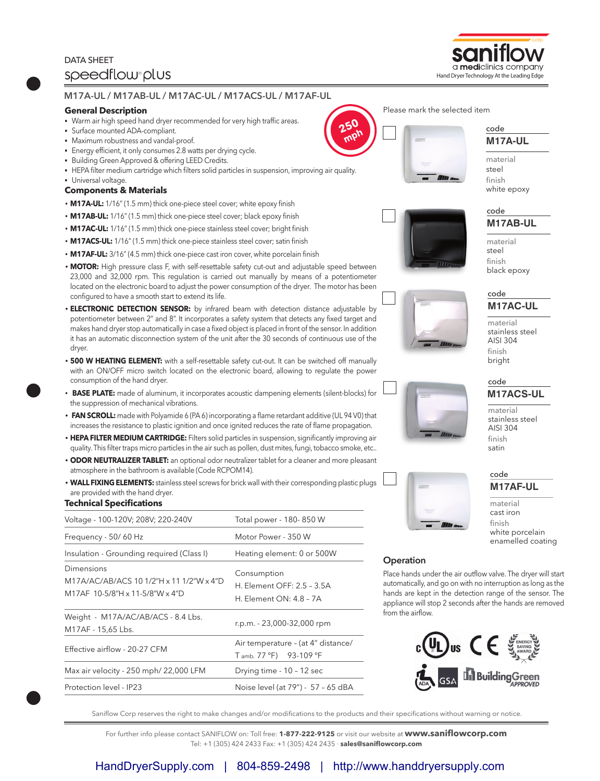# DATA SHEET speedflow plus



## **General Description**

- Warm air high speed hand dryer recommended for very high traffic areas.
- § Surface mounted ADA-compliant.
- § Maximum robustness and vandal-proof.
- § Energy efficient, it only consumes 2.8 watts per drying cycle.
- **Building Green Approved & offering LEED Credits.**
- HEPA filter medium cartridge which filters solid particles in suspension, improving air quality.
- § Universal voltage.

## **Components & Materials**

- **M17A-UL:** 1/16" (1.5 mm) thick one-piece steel cover; white epoxy finish
- **M17AB-UL:** 1/16" (1.5 mm) thick one-piece steel cover; black epoxy finish
- **M17AC-UL:** 1/16" (1.5 mm) thick one-piece stainless steel cover; bright finish
- **M17ACS-UL:** 1/16" (1.5 mm) thick one-piece stainless steel cover; satin finish
- **M17AF-UL:** 3/16" (4.5 mm) thick one-piece cast iron cover, white porcelain finish
- **MOTOR:** High pressure class F, with self-resettable safety cut-out and adjustable speed between 23,000 and 32,000 rpm. This regulation is carried out manually by means of a potentiometer located on the electronic board to adjust the power consumption of the dryer. The motor has been configured to have a smooth start to extend its life.
- **ELECTRONIC DETECTION SENSOR:** by infrared beam with detection distance adjustable by potentiometer between 2" and 8". It incorporates a safety system that detects any fixed target and makes hand dryer stop automatically in case a fixed object is placed in front of the sensor. In addition it has an automatic disconnection system of the unit after the 30 seconds of continuous use of the dryer.
- **500 W HEATING ELEMENT:** with a self-resettable safety cut-out. It can be switched off manually with an ON/OFF micro switch located on the electronic board, allowing to regulate the power consumption of the hand dryer.
- **BASE PLATE:** made of aluminum, it incorporates acoustic dampening elements (silent-blocks) for the suppression of mechanical vibrations.
- **FAN SCROLL:** made with Polyamide 6 (PA 6) incorporating a flame retardant additive (UL 94 V0) that increases the resistance to plastic ignition and once ignited reduces the rate of flame propagation.
- **HEPA FILTER MEDIUM CARTRIDGE:** Filters solid particles in suspension, significantly improving air quality. This filter traps micro particles in the air such as pollen, dust mites, fungi, tobacco smoke, etc..
- **ODOR NEUTRALIZER TABLET:** an optional odor neutralizer tablet for a cleaner and more pleasant atmosphere in the bathroom is available (Code RCPOM14).
- **WALL FIXING ELEMENTS:** stainless steel screws for brick wall with their corresponding plastic plugs are provided with the hand dryer.

# **Technical Specifications**

| Voltage - 100-120V; 208V; 220-240V                                                        | Total power - 180-850 W                                              |  |
|-------------------------------------------------------------------------------------------|----------------------------------------------------------------------|--|
| Frequency - 50/60 Hz                                                                      | Motor Power - 350 W                                                  |  |
| Insulation - Grounding required (Class I)                                                 | Heating element: 0 or 500W                                           |  |
| Dimensions<br>M17A/AC/AB/ACS 10 1/2"H x 11 1/2"W x 4"D<br>M17AF 10-5/8"H x 11-5/8"W x 4"D | Consumption<br>H. Element OFF: 2.5 - 3.5A<br>H. Element ON: 4.8 - 7A |  |
| Weight - M17A/AC/AB/ACS - 8.4 Lbs.<br>M17AF - 15,65 Lbs.                                  | r.p.m. - 23,000-32,000 rpm                                           |  |
| Effective airflow - 20-27 CFM                                                             | Air temperature - (at 4" distance/<br>T amb. 77 °F) 93-109 °F        |  |
| Max air velocity - 250 mph/ 22,000 LFM                                                    | Drying time - 10 - 12 sec                                            |  |
| Protection level - IP23                                                                   | Noise level (at 79") - 57 - 65 dBA                                   |  |











material stainless steel AISI 304 finish bright

#### **M17ACS-UL** code

material stainless steel AISI 304 finish satin

**M17AF-UL** code

material cast iron finish white porcelain enamelled coating





# **Operation**

Place hands under the air outflow valve. The dryer will start automatically, and go on with no interruption as long as the hands are kept in the detection range of the sensor. The appliance will stop 2 seconds after the hands are removed from the airflow.



Saniflow Corp reserves the right to make changes and/or modifications to the products and their specifications without warning or notice.

For further info please contact SANIFLOW on: Toll free: **1-877-222-9125** or visit our website at **www.saniflowcorp.com** Tel: +1 (305) 424 2433 Fax: +1 (305) 424 2435 · **sales@saniflowcorp.com**





**M17A-UL** code

**M17AB-UL** code

material steel finish black epoxy

material steel finish white epoxy